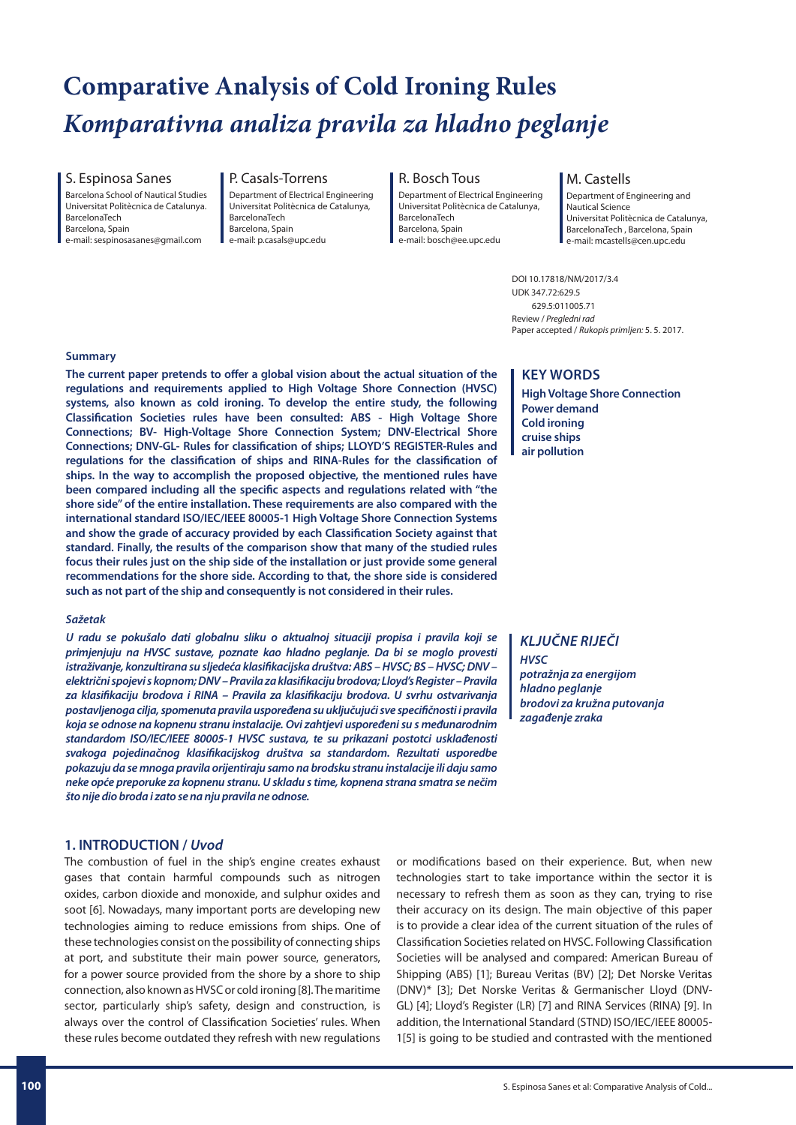# **Comparative Analysis of Cold Ironing Rules** *Komparativna analiza pravila za hladno peglanje*

S. Espinosa Sanes

Barcelona School of Nautical Studies Universitat Politècnica de Catalunya. BarcelonaTech Barcelona, Spain

e-mail: sespinosasanes@gmail.com

#### P. Casals-Torrens Department of Electrical Engineering Universitat Politècnica de Catalunya, BarcelonaTech Barcelona, Spain

e-mail: p.casals@upc.edu

R. Bosch Tous Department of Electrical Engineering Universitat Politècnica de Catalunya, BarcelonaTech Barcelona, Spain e-mail: bosch@ee.upc.edu

### M. Castells

Department of Engineering and Nautical Science Universitat Politècnica de Catalunya, BarcelonaTech , Barcelona, Spain e-mail: mcastells@cen.upc.edu

DOI 10.17818/NM/2017/3.4 UDK 347.72:629.5 629.5:011005.71 Review / *Pregledni rad* Paper accepted / *Rukopis primljen:* 5. 5. 2017.

### **Summary**

**The current paper pretends to offer a global vision about the actual situation of the regulations and requirements applied to High Voltage Shore Connection (HVSC) systems, also known as cold ironing. To develop the entire study, the following Classification Societies rules have been consulted: ABS - High Voltage Shore Connections; BV- High-Voltage Shore Connection System; DNV-Electrical Shore Connections; DNV-GL- Rules for classification of ships; LLOYD'S REGISTER-Rules and regulations for the classification of ships and RINA-Rules for the classification of ships. In the way to accomplish the proposed objective, the mentioned rules have been compared including all the specific aspects and regulations related with "the shore side" of the entire installation. These requirements are also compared with the international standard ISO/IEC/IEEE 80005-1 High Voltage Shore Connection Systems and show the grade of accuracy provided by each Classification Society against that standard. Finally, the results of the comparison show that many of the studied rules focus their rules just on the ship side of the installation or just provide some general recommendations for the shore side. According to that, the shore side is considered such as not part of the ship and consequently is not considered in their rules.**

### *Sažetak*

*U radu se pokušalo dati globalnu sliku o aktualnoj situaciji propisa i pravila koji se primjenjuju na HVSC sustave, poznate kao hladno peglanje. Da bi se moglo provesti istraživanje, konzultirana su sljedeća klasifikacijska društva: ABS – HVSC; BS – HVSC; DNV – električni spojevi s kopnom; DNV – Pravila za klasifikaciju brodova; Lloyd's Register – Pravila za klasifikaciju brodova i RINA – Pravila za klasifikaciju brodova. U svrhu ostvarivanja postavljenoga cilja, spomenuta pravila uspoređena su uključujući sve specifičnosti i pravila koja se odnose na kopnenu stranu instalacije. Ovi zahtjevi uspoređeni su s međunarodnim standardom ISO/IEC/IEEE 80005-1 HVSC sustava, te su prikazani postotci usklađenosti svakoga pojedinačnog klasifikacijskog društva sa standardom. Rezultati usporedbe pokazuju da se mnoga pravila orijentiraju samo na brodsku stranu instalacije ili daju samo neke opće preporuke za kopnenu stranu. U skladu s time, kopnena strana smatra se nečim što nije dio broda i zato se na nju pravila ne odnose.*

# **1. INTRODUCTION /** *Uvod*

The combustion of fuel in the ship's engine creates exhaust gases that contain harmful compounds such as nitrogen oxides, carbon dioxide and monoxide, and sulphur oxides and soot [6]. Nowadays, many important ports are developing new technologies aiming to reduce emissions from ships. One of these technologies consist on the possibility of connecting ships at port, and substitute their main power source, generators, for a power source provided from the shore by a shore to ship connection, also known as HVSC or cold ironing [8]. The maritime sector, particularly ship's safety, design and construction, is always over the control of Classification Societies' rules. When these rules become outdated they refresh with new regulations

# **KEY WORDS**

**High Voltage Shore Connection Power demand Cold ironing cruise ships air pollution**

*KLJUČNE RIJEČI HVSC potražnja za energijom hladno peglanje brodovi za kružna putovanja zagađenje zraka*

or modifications based on their experience. But, when new technologies start to take importance within the sector it is necessary to refresh them as soon as they can, trying to rise their accuracy on its design. The main objective of this paper is to provide a clear idea of the current situation of the rules of Classification Societies related on HVSC. Following Classification Societies will be analysed and compared: American Bureau of Shipping (ABS) [1]; Bureau Veritas (BV) [2]; Det Norske Veritas (DNV)\* [3]; Det Norske Veritas & Germanischer Lloyd (DNV-GL) [4]; Lloyd's Register (LR) [7] and RINA Services (RINA) [9]. In addition, the International Standard (STND) ISO/IEC/IEEE 80005- 1[5] is going to be studied and contrasted with the mentioned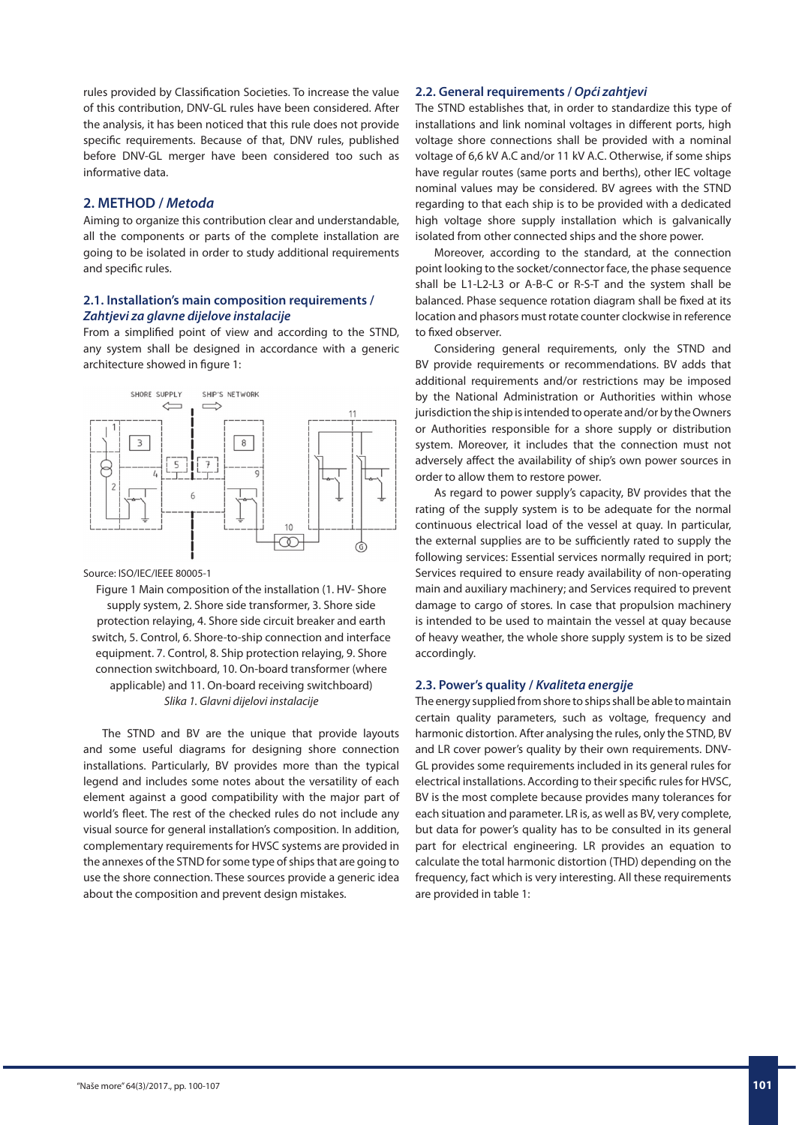rules provided by Classification Societies. To increase the value of this contribution, DNV-GL rules have been considered. After the analysis, it has been noticed that this rule does not provide specific requirements. Because of that, DNV rules, published before DNV-GL merger have been considered too such as informative data.

# **2. METHOD /** *Metoda*

Aiming to organize this contribution clear and understandable, all the components or parts of the complete installation are going to be isolated in order to study additional requirements and specific rules.

# **2.1. Installation's main composition requirements /**  *Zahtjevi za glavne dijelove instalacije*

From a simplified point of view and according to the STND, any system shall be designed in accordance with a generic architecture showed in figure 1:



### Source: ISO/IEC/IEEE 80005-1

Figure 1 Main composition of the installation (1. HV- Shore supply system, 2. Shore side transformer, 3. Shore side protection relaying, 4. Shore side circuit breaker and earth switch, 5. Control, 6. Shore-to-ship connection and interface equipment. 7. Control, 8. Ship protection relaying, 9. Shore connection switchboard, 10. On-board transformer (where applicable) and 11. On-board receiving switchboard) *Slika 1. Glavni dijelovi instalacije*

The STND and BV are the unique that provide layouts and some useful diagrams for designing shore connection installations. Particularly, BV provides more than the typical legend and includes some notes about the versatility of each element against a good compatibility with the major part of world's fleet. The rest of the checked rules do not include any visual source for general installation's composition. In addition, complementary requirements for HVSC systems are provided in the annexes of the STND for some type of ships that are going to use the shore connection. These sources provide a generic idea about the composition and prevent design mistakes.

# **2.2. General requirements /** *Opći zahtjevi*

The STND establishes that, in order to standardize this type of installations and link nominal voltages in different ports, high voltage shore connections shall be provided with a nominal voltage of 6,6 kV A.C and/or 11 kV A.C. Otherwise, if some ships have regular routes (same ports and berths), other IEC voltage nominal values may be considered. BV agrees with the STND regarding to that each ship is to be provided with a dedicated high voltage shore supply installation which is galvanically isolated from other connected ships and the shore power.

Moreover, according to the standard, at the connection point looking to the socket/connector face, the phase sequence shall be L1-L2-L3 or A-B-C or R-S-T and the system shall be balanced. Phase sequence rotation diagram shall be fixed at its location and phasors must rotate counter clockwise in reference to fixed observer.

Considering general requirements, only the STND and BV provide requirements or recommendations. BV adds that additional requirements and/or restrictions may be imposed by the National Administration or Authorities within whose jurisdiction the ship is intended to operate and/or by the Owners or Authorities responsible for a shore supply or distribution system. Moreover, it includes that the connection must not adversely affect the availability of ship's own power sources in order to allow them to restore power.

As regard to power supply's capacity, BV provides that the rating of the supply system is to be adequate for the normal continuous electrical load of the vessel at quay. In particular, the external supplies are to be sufficiently rated to supply the following services: Essential services normally required in port; Services required to ensure ready availability of non-operating main and auxiliary machinery; and Services required to prevent damage to cargo of stores. In case that propulsion machinery is intended to be used to maintain the vessel at quay because of heavy weather, the whole shore supply system is to be sized accordingly.

# **2.3. Power's quality /** *Kvaliteta energije*

The energy supplied from shore to ships shall be able to maintain certain quality parameters, such as voltage, frequency and harmonic distortion. After analysing the rules, only the STND, BV and LR cover power's quality by their own requirements. DNV-GL provides some requirements included in its general rules for electrical installations. According to their specific rules for HVSC, BV is the most complete because provides many tolerances for each situation and parameter. LR is, as well as BV, very complete, but data for power's quality has to be consulted in its general part for electrical engineering. LR provides an equation to calculate the total harmonic distortion (THD) depending on the frequency, fact which is very interesting. All these requirements are provided in table 1: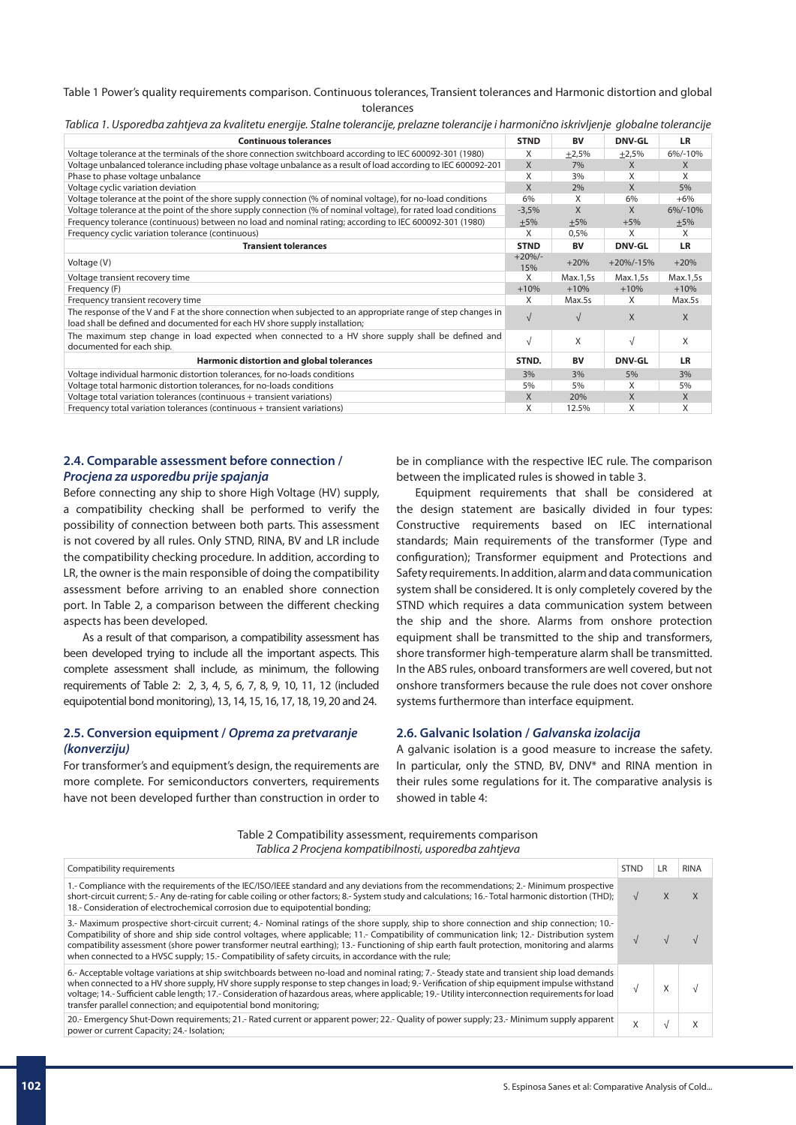### Table 1 Power's quality requirements comparison. Continuous tolerances, Transient tolerances and Harmonic distortion and global tolerances

| <b>Continuous tolerances</b>                                                                                                                                                                 | <b>STND</b>     | <b>BV</b>  | <b>DNV-GL</b> | <b>LR</b>    |
|----------------------------------------------------------------------------------------------------------------------------------------------------------------------------------------------|-----------------|------------|---------------|--------------|
| Voltage tolerance at the terminals of the shore connection switchboard according to IEC 600092-301 (1980)                                                                                    | X               | ±2,5%      | $+2,5%$       | 6%/-10%      |
| Voltage unbalanced tolerance including phase voltage unbalance as a result of load according to IEC 600092-201                                                                               | X               | 7%         | X             | $\mathsf{X}$ |
| Phase to phase voltage unbalance                                                                                                                                                             | X               | 3%         | X             | X            |
| Voltage cyclic variation deviation                                                                                                                                                           | X               | 2%         | $\mathsf{X}$  | 5%           |
| Voltage tolerance at the point of the shore supply connection (% of nominal voltage), for no-load conditions                                                                                 | 6%              | X          | 6%            | $+6%$        |
| Voltage tolerance at the point of the shore supply connection (% of nominal voltage), for rated load conditions                                                                              | $-3,5%$         | X          | X             | 6%/-10%      |
| Frequency tolerance (continuous) between no load and nominal rating; according to IEC 600092-301 (1980)                                                                                      | $+5%$           | $+5%$      | $+5%$         | $+5%$        |
| Frequency cyclic variation tolerance (continuous)                                                                                                                                            | X               | 0,5%       | X             | X            |
| <b>Transient tolerances</b>                                                                                                                                                                  | <b>STND</b>     | <b>BV</b>  | <b>DNV-GL</b> | <b>LR</b>    |
| Voltage (V)                                                                                                                                                                                  | $+20%/-$<br>15% | $+20%$     | $+20\%/15\%$  | $+20%$       |
| Voltage transient recovery time                                                                                                                                                              | X               | Max.1,5s   | Max.1,5s      | Max.1,5s     |
| Frequency (F)                                                                                                                                                                                | $+10%$          | $+10%$     | $+10%$        | $+10%$       |
| Frequency transient recovery time                                                                                                                                                            | X               | Max.5s     | X             | Max.5s       |
| The response of the V and F at the shore connection when subjected to an appropriate range of step changes in<br>load shall be defined and documented for each HV shore supply installation; | $\sqrt{ }$      | $\sqrt{ }$ | $\mathsf{X}$  | $\mathsf{X}$ |
| The maximum step change in load expected when connected to a HV shore supply shall be defined and<br>documented for each ship.                                                               | $\sqrt{ }$      | X          | $\sqrt{ }$    | X            |
| Harmonic distortion and global tolerances                                                                                                                                                    | STND.           | <b>BV</b>  | <b>DNV-GL</b> | LR           |
| Voltage individual harmonic distortion tolerances, for no-loads conditions                                                                                                                   | 3%              | 3%         | 5%            | 3%           |
| Voltage total harmonic distortion tolerances, for no-loads conditions                                                                                                                        | 5%              | 5%         | X             | 5%           |
| Voltage total variation tolerances (continuous + transient variations)                                                                                                                       | X               | 20%        | X             | X            |
| Frequency total variation tolerances (continuous + transient variations)                                                                                                                     | X               | 12.5%      | X             | X            |

*Tablica 1. Usporedba zahtjeva za kvalitetu energije. Stalne tolerancije, prelazne tolerancije i harmonično iskrivljenje globalne tolerancije*

# **2.4. Comparable assessment before connection /**  *Procjena za usporedbu prije spajanja*

Before connecting any ship to shore High Voltage (HV) supply, a compatibility checking shall be performed to verify the possibility of connection between both parts. This assessment is not covered by all rules. Only STND, RINA, BV and LR include the compatibility checking procedure. In addition, according to LR, the owner is the main responsible of doing the compatibility assessment before arriving to an enabled shore connection port. In Table 2, a comparison between the different checking aspects has been developed.

As a result of that comparison, a compatibility assessment has been developed trying to include all the important aspects. This complete assessment shall include, as minimum, the following requirements of Table 2: 2, 3, 4, 5, 6, 7, 8, 9, 10, 11, 12 (included equipotential bond monitoring), 13, 14, 15, 16, 17, 18, 19, 20 and 24.

# **2.5. Conversion equipment /** *Oprema za pretvaranje (konverziju)*

For transformer's and equipment's design, the requirements are more complete. For semiconductors converters, requirements have not been developed further than construction in order to

be in compliance with the respective IEC rule. The comparison between the implicated rules is showed in table 3.

Equipment requirements that shall be considered at the design statement are basically divided in four types: Constructive requirements based on IEC international standards; Main requirements of the transformer (Type and configuration); Transformer equipment and Protections and Safety requirements. In addition, alarm and data communication system shall be considered. It is only completely covered by the STND which requires a data communication system between the ship and the shore. Alarms from onshore protection equipment shall be transmitted to the ship and transformers, shore transformer high-temperature alarm shall be transmitted. In the ABS rules, onboard transformers are well covered, but not onshore transformers because the rule does not cover onshore systems furthermore than interface equipment.

# **2.6. Galvanic Isolation /** *Galvanska izolacija*

A galvanic isolation is a good measure to increase the safety. In particular, only the STND, BV, DNV\* and RINA mention in their rules some regulations for it. The comparative analysis is showed in table 4:

Table 2 Compatibility assessment, requirements comparison *Tablica 2 Procjena kompatibilnosti, usporedba zahtjeva*

| Compatibility requirements                                                                                                                                                                                                                                                                                                                                                                                                                                                                                                                       | <b>STND</b> | LR | <b>RINA</b> |
|--------------------------------------------------------------------------------------------------------------------------------------------------------------------------------------------------------------------------------------------------------------------------------------------------------------------------------------------------------------------------------------------------------------------------------------------------------------------------------------------------------------------------------------------------|-------------|----|-------------|
| 1.- Compliance with the requirements of the IEC/ISO/IEEE standard and any deviations from the recommendations; 2.- Minimum prospective<br>short-circuit current; 5.- Any de-rating for cable coiling or other factors; 8.- System study and calculations; 16.- Total harmonic distortion (THD);<br>18.- Consideration of electrochemical corrosion due to equipotential bonding;                                                                                                                                                                 |             |    |             |
| 3.- Maximum prospective short-circuit current; 4.- Nominal ratings of the shore supply, ship to shore connection and ship connection; 10.-<br>Compatibility of shore and ship side control voltages, where applicable; 11.- Compatibility of communication link; 12.- Distribution system<br>compatibility assessment (shore power transformer neutral earthing); 13.- Functioning of ship earth fault protection, monitoring and alarms<br>when connected to a HVSC supply; 15.- Compatibility of safety circuits, in accordance with the rule; |             |    |             |
| 6.- Acceptable voltage variations at ship switchboards between no-load and nominal rating; 7.- Steady state and transient ship load demands<br>when connected to a HV shore supply, HV shore supply response to step changes in load; 9.-Verification of ship equipment impulse withstand<br>voltage; 14.- Sufficient cable length; 17.- Consideration of hazardous areas, where applicable; 19.- Utility interconnection requirements for load<br>transfer parallel connection; and equipotential bond monitoring;                              |             |    |             |
| 20.- Emergency Shut-Down requirements; 21.- Rated current or apparent power; 22.- Quality of power supply; 23.- Minimum supply apparent<br>power or current Capacity; 24.- Isolation;                                                                                                                                                                                                                                                                                                                                                            | $\lambda$   |    |             |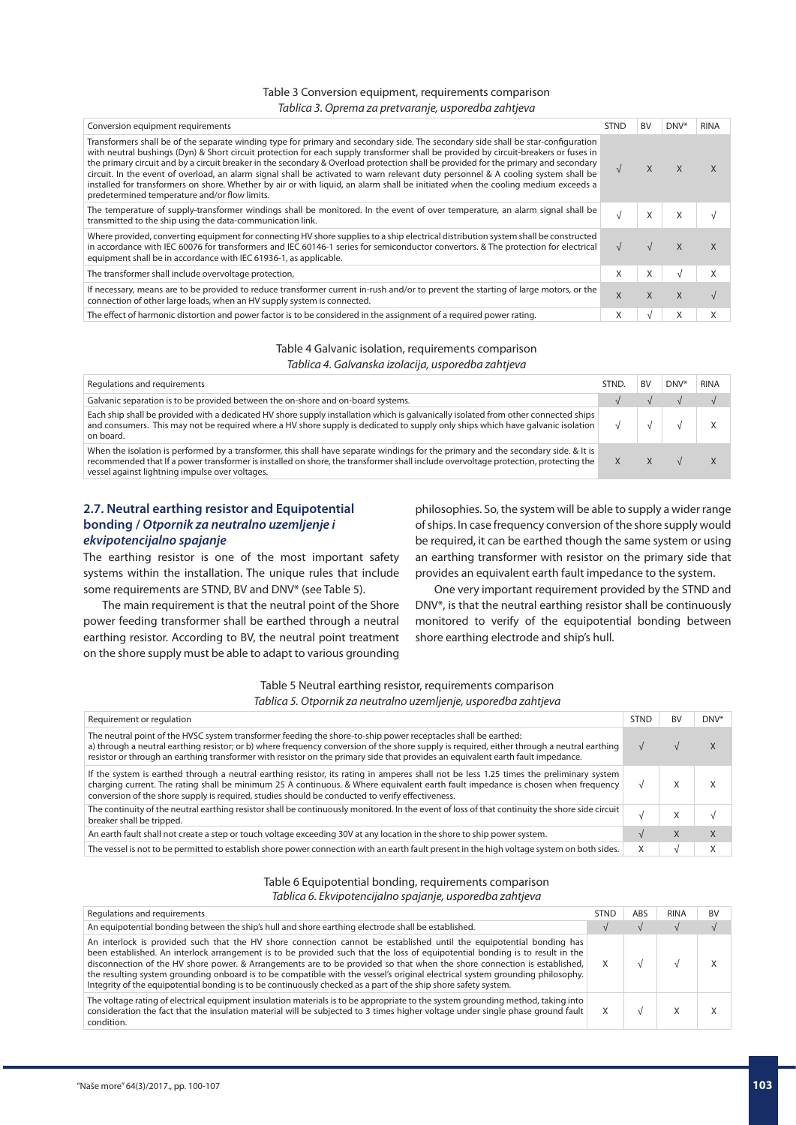### Table 3 Conversion equipment, requirements comparison *Tablica 3. Oprema za pretvaranje, usporedba zahtjeva*

| Conversion equipment requirements                                                                                                                                                                                                                                                                                                                                                                                                                                                                                                                                                                                                                                                                                                           | <b>STND</b> | <b>BV</b> | DNV*     | <b>RINA</b> |
|---------------------------------------------------------------------------------------------------------------------------------------------------------------------------------------------------------------------------------------------------------------------------------------------------------------------------------------------------------------------------------------------------------------------------------------------------------------------------------------------------------------------------------------------------------------------------------------------------------------------------------------------------------------------------------------------------------------------------------------------|-------------|-----------|----------|-------------|
| Transformers shall be of the separate winding type for primary and secondary side. The secondary side shall be star-configuration<br>with neutral bushings (Dyn) & Short circuit protection for each supply transformer shall be provided by circuit-breakers or fuses in<br>the primary circuit and by a circuit breaker in the secondary & Overload protection shall be provided for the primary and secondary<br>circuit. In the event of overload, an alarm signal shall be activated to warn relevant duty personnel & A cooling system shall be<br>installed for transformers on shore. Whether by air or with liquid, an alarm shall be initiated when the cooling medium exceeds a<br>predetermined temperature and/or flow limits. |             |           |          |             |
| The temperature of supply-transformer windings shall be monitored. In the event of over temperature, an alarm signal shall be<br>transmitted to the ship using the data-communication link.                                                                                                                                                                                                                                                                                                                                                                                                                                                                                                                                                 |             |           | $\times$ |             |
| Where provided, converting equipment for connecting HV shore supplies to a ship electrical distribution system shall be constructed<br>in accordance with IEC 60076 for transformers and IEC 60146-1 series for semiconductor convertors. & The protection for electrical<br>equipment shall be in accordance with IEC 61936-1, as applicable.                                                                                                                                                                                                                                                                                                                                                                                              |             |           |          |             |
| The transformer shall include overvoltage protection,                                                                                                                                                                                                                                                                                                                                                                                                                                                                                                                                                                                                                                                                                       | X           |           |          |             |
| If necessary, means are to be provided to reduce transformer current in-rush and/or to prevent the starting of large motors, or the<br>connection of other large loads, when an HV supply system is connected.                                                                                                                                                                                                                                                                                                                                                                                                                                                                                                                              | X           |           |          |             |
| The effect of harmonic distortion and power factor is to be considered in the assignment of a required power rating.                                                                                                                                                                                                                                                                                                                                                                                                                                                                                                                                                                                                                        | X           |           |          |             |
|                                                                                                                                                                                                                                                                                                                                                                                                                                                                                                                                                                                                                                                                                                                                             |             |           |          |             |

# Table 4 Galvanic isolation, requirements comparison *Tablica 4. Galvanska izolacija, usporedba zahtjeva*

| Regulations and requirements                                                                                                                                                                                                                                                                                                  | STND. | <b>BV</b> | DNV <sup>*</sup> | <b>RINA</b> |
|-------------------------------------------------------------------------------------------------------------------------------------------------------------------------------------------------------------------------------------------------------------------------------------------------------------------------------|-------|-----------|------------------|-------------|
| Galvanic separation is to be provided between the on-shore and on-board systems.                                                                                                                                                                                                                                              |       |           |                  |             |
| Each ship shall be provided with a dedicated HV shore supply installation which is galvanically isolated from other connected ships<br>and consumers. This may not be required where a HV shore supply is dedicated to supply only ships which have galvanic isolation<br>on board.                                           |       |           |                  |             |
| When the isolation is performed by a transformer, this shall have separate windings for the primary and the secondary side. & It is<br>recommended that If a power transformer is installed on shore, the transformer shall include overvoltage protection, protecting the<br>vessel against lightning impulse over voltages. |       |           |                  |             |

# **2.7. Neutral earthing resistor and Equipotential bonding /** *Otpornik za neutralno uzemljenje i ekvipotencijalno spajanje*

The earthing resistor is one of the most important safety systems within the installation. The unique rules that include some requirements are STND, BV and DNV\* (see Table 5).

The main requirement is that the neutral point of the Shore power feeding transformer shall be earthed through a neutral earthing resistor. According to BV, the neutral point treatment on the shore supply must be able to adapt to various grounding

philosophies. So, the system will be able to supply a wider range of ships. In case frequency conversion of the shore supply would be required, it can be earthed though the same system or using an earthing transformer with resistor on the primary side that provides an equivalent earth fault impedance to the system.

One very important requirement provided by the STND and DNV\*, is that the neutral earthing resistor shall be continuously monitored to verify of the equipotential bonding between shore earthing electrode and ship's hull.

Table 5 Neutral earthing resistor, requirements comparison *Tablica 5. Otpornik za neutralno uzemljenje, usporedba zahtjeva*

| Requirement or requlation                                                                                                                                                                                                                                                                                                                                                                         | <b>STND</b> | <b>BV</b> | DNV* |
|---------------------------------------------------------------------------------------------------------------------------------------------------------------------------------------------------------------------------------------------------------------------------------------------------------------------------------------------------------------------------------------------------|-------------|-----------|------|
| The neutral point of the HVSC system transformer feeding the shore-to-ship power receptacles shall be earthed:<br>a) through a neutral earthing resistor; or b) where frequency conversion of the shore supply is required, either through a neutral earthing<br>resistor or through an earthing transformer with resistor on the primary side that provides an equivalent earth fault impedance. |             |           |      |
| If the system is earthed through a neutral earthing resistor, its rating in amperes shall not be less 1.25 times the preliminary system<br>charging current. The rating shall be minimum 25 A continuous. & Where equivalent earth fault impedance is chosen when frequency<br>conversion of the shore supply is required, studies should be conducted to verify effectiveness.                   | M           | $\lambda$ |      |
| The continuity of the neutral earthing resistor shall be continuously monitored. In the event of loss of that continuity the shore side circuit<br>breaker shall be tripped.                                                                                                                                                                                                                      |             | Χ         |      |
| An earth fault shall not create a step or touch voltage exceeding 30V at any location in the shore to ship power system.                                                                                                                                                                                                                                                                          |             | $\lambda$ | X    |
| The vessel is not to be permitted to establish shore power connection with an earth fault present in the high voltage system on both sides.                                                                                                                                                                                                                                                       | X           |           |      |

# Table 6 Equipotential bonding, requirements comparison

*Tablica 6. Ekvipotencijalno spajanje, usporedba zahtjeva*

| Regulations and requirements                                                                                                                                                                                                                                                                                                                                                                                                                                                                                                                                                                                                         | <b>STND</b> | ABS | <b>RINA</b> | <b>BV</b> |  |
|--------------------------------------------------------------------------------------------------------------------------------------------------------------------------------------------------------------------------------------------------------------------------------------------------------------------------------------------------------------------------------------------------------------------------------------------------------------------------------------------------------------------------------------------------------------------------------------------------------------------------------------|-------------|-----|-------------|-----------|--|
| An equipotential bonding between the ship's hull and shore earthing electrode shall be established.                                                                                                                                                                                                                                                                                                                                                                                                                                                                                                                                  |             |     |             |           |  |
| An interlock is provided such that the HV shore connection cannot be established until the equipotential bonding has<br>been established. An interlock arrangement is to be provided such that the loss of equipotential bonding is to result in the<br>disconnection of the HV shore power. & Arrangements are to be provided so that when the shore connection is established,<br>the resulting system grounding onboard is to be compatible with the vessel's original electrical system grounding philosophy.<br>Integrity of the equipotential bonding is to be continuously checked as a part of the ship shore safety system. |             |     |             |           |  |
| The voltage rating of electrical equipment insulation materials is to be appropriate to the system grounding method, taking into<br>consideration the fact that the insulation material will be subjected to 3 times higher voltage under single phase ground fault<br>condition.                                                                                                                                                                                                                                                                                                                                                    |             |     |             |           |  |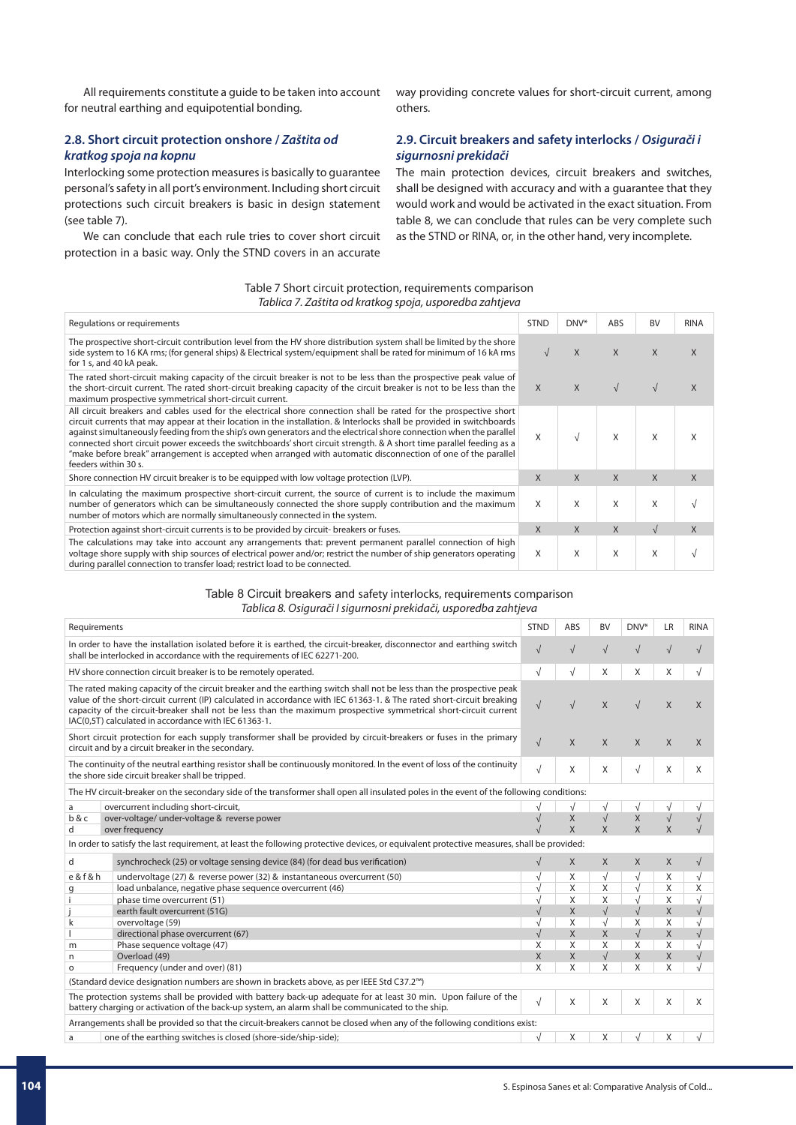All requirements constitute a guide to be taken into account for neutral earthing and equipotential bonding.

# **2.8. Short circuit protection onshore /** *Zaštita od kratkog spoja na kopnu*

Interlocking some protection measures is basically to guarantee personal's safety in all port's environment. Including short circuit protections such circuit breakers is basic in design statement (see table 7).

We can conclude that each rule tries to cover short circuit protection in a basic way. Only the STND covers in an accurate

way providing concrete values for short-circuit current, among others.

# **2.9. Circuit breakers and safety interlocks /** *Osigurači i sigurnosni prekidači*

The main protection devices, circuit breakers and switches, shall be designed with accuracy and with a guarantee that they would work and would be activated in the exact situation. From table 8, we can conclude that rules can be very complete such as the STND or RINA, or, in the other hand, very incomplete.

| Table 7 Short circuit protection, requirements comparison |  |
|-----------------------------------------------------------|--|
| Tablica 7. Zaštita od kratkog spoja, usporedba zahtjeva   |  |

| Regulations or requirements                                                                                                                                                                                                                                                                                                                                                                                                                                                                                                                                                                                                         | <b>STND</b>  | $DNV^*$ | ABS          | <b>BV</b>  | <b>RINA</b>  |
|-------------------------------------------------------------------------------------------------------------------------------------------------------------------------------------------------------------------------------------------------------------------------------------------------------------------------------------------------------------------------------------------------------------------------------------------------------------------------------------------------------------------------------------------------------------------------------------------------------------------------------------|--------------|---------|--------------|------------|--------------|
| The prospective short-circuit contribution level from the HV shore distribution system shall be limited by the shore<br>side system to 16 KA rms; (for general ships) & Electrical system/equipment shall be rated for minimum of 16 kA rms<br>for 1 s, and 40 kA peak.                                                                                                                                                                                                                                                                                                                                                             | $\sqrt{ }$   | X       | $\mathsf{X}$ | X          | X            |
| The rated short-circuit making capacity of the circuit breaker is not to be less than the prospective peak value of<br>the short-circuit current. The rated short-circuit breaking capacity of the circuit breaker is not to be less than the<br>maximum prospective symmetrical short-circuit current.                                                                                                                                                                                                                                                                                                                             | $\mathsf{X}$ | X       | $\sqrt{ }$   |            | X            |
| All circuit breakers and cables used for the electrical shore connection shall be rated for the prospective short<br>circuit currents that may appear at their location in the installation. & Interlocks shall be provided in switchboards<br>against simultaneously feeding from the ship's own generators and the electrical shore connection when the parallel<br>connected short circuit power exceeds the switchboards' short circuit strength. & A short time parallel feeding as a<br>"make before break" arrangement is accepted when arranged with automatic disconnection of one of the parallel<br>feeders within 30 s. | X            |         | X            | X          | X            |
| Shore connection HV circuit breaker is to be equipped with low voltage protection (LVP).                                                                                                                                                                                                                                                                                                                                                                                                                                                                                                                                            | X            | X       | $\mathsf{X}$ | X          | $\mathsf{X}$ |
| In calculating the maximum prospective short-circuit current, the source of current is to include the maximum<br>number of generators which can be simultaneously connected the shore supply contribution and the maximum<br>number of motors which are normally simultaneously connected in the system.                                                                                                                                                                                                                                                                                                                            | X            | X       | X            | X          |              |
| Protection against short-circuit currents is to be provided by circuit- breakers or fuses.                                                                                                                                                                                                                                                                                                                                                                                                                                                                                                                                          | X            | X       | $\mathsf{X}$ | $\sqrt{ }$ | $\mathsf{X}$ |
| The calculations may take into account any arrangements that: prevent permanent parallel connection of high<br>voltage shore supply with ship sources of electrical power and/or; restrict the number of ship generators operating<br>during parallel connection to transfer load; restrict load to be connected.                                                                                                                                                                                                                                                                                                                   | X            | X       | X            | X          |              |

### Table 8 Circuit breakers and safety interlocks, requirements comparison *Tablica 8. Osigurači I sigurnosni prekidači, usporedba zahtjeva*

| In order to have the installation isolated before it is earthed, the circuit-breaker, disconnector and earthing switch<br>$\sqrt{ }$<br>$\sqrt{}$<br>$\sqrt{ }$<br>shall be interlocked in accordance with the requirements of IEC 62271-200.<br>$\sqrt{ }$<br>$\sqrt{ }$<br>X<br>X<br>HV shore connection circuit breaker is to be remotely operated.<br>X<br>The rated making capacity of the circuit breaker and the earthing switch shall not be less than the prospective peak<br>value of the short-circuit current (IP) calculated in accordance with IEC 61363-1. & The rated short-circuit breaking<br>$\sqrt{ }$<br>X<br>X<br>X<br>$\sqrt{ }$<br>$\sqrt{ }$<br>capacity of the circuit-breaker shall not be less than the maximum prospective symmetrical short-circuit current<br>IAC(0.5T) calculated in accordance with IEC 61363-1.<br>Short circuit protection for each supply transformer shall be provided by circuit-breakers or fuses in the primary<br>$\sqrt{ }$<br>X<br>X<br>X<br>$\chi$<br>X<br>circuit and by a circuit breaker in the secondary.<br>The continuity of the neutral earthing resistor shall be continuously monitored. In the event of loss of the continuity<br>$\sqrt{ }$<br>$\sqrt{ }$<br>X<br>X<br>X<br>X<br>the shore side circuit breaker shall be tripped.<br>The HV circuit-breaker on the secondary side of the transformer shall open all insulated poles in the event of the following conditions:<br>overcurrent including short-circuit,<br>$\sqrt{ }$<br>a<br>V<br>$\sqrt{ }$<br>$\sqrt{ }$<br>X<br>Χ<br>over-voltage/ under-voltage & reverse power<br>b & c<br>$\sqrt{}$<br>$\sqrt{}$<br>$\mathsf{X}$<br>X<br>$\mathsf{X}$<br>$\overline{X}$<br>over frequency<br>d<br>In order to satisfy the last requirement, at least the following protective devices, or equivalent protective measures, shall be provided:<br>$\sqrt{ }$<br>d<br>synchrocheck (25) or voltage sensing device (84) (for dead bus verification)<br>X<br>X<br>X<br>X<br>$\sqrt{}$<br>e & f & h<br>$\sqrt{}$<br>X<br>undervoltage (27) & reverse power (32) & instantaneous overcurrent (50)<br>X<br>$\sqrt{ }$<br>$\sqrt{ }$<br>$\sqrt{}$<br>$\sqrt{ }$<br>X<br>X<br>X<br>Χ<br>load unbalance, negative phase sequence overcurrent (46)<br>g<br>X<br>X<br>$\sqrt{2}$<br>X<br>phase time overcurrent (51)<br>$\sqrt{ }$<br>$\sqrt{ }$<br>X<br>$\sqrt{ }$<br>X<br>earth fault overcurrent (51G)<br>X<br>$\sqrt{ }$<br>X<br>X<br>k<br>overvoltage (59)<br>$\sqrt{ }$<br>X<br>X<br>directional phase overcurrent (67)<br>$\sqrt{}$<br>X<br>X<br>X<br>X<br>X<br>X<br>Phase sequence voltage (47)<br>m<br>$\sqrt{ }$<br>$\times$<br>X<br>Overload (49)<br>X<br>X<br>n<br>X<br>X<br>X<br>X<br>Frequency (under and over) (81)<br>X<br>O<br>(Standard device designation numbers are shown in brackets above, as per IEEE Std C37.2 <sup>™</sup> )<br>The protection systems shall be provided with battery back-up adequate for at least 30 min. Upon failure of the<br>$\sqrt{ }$<br>X<br>X<br>X<br>X<br>X<br>battery charging or activation of the back-up system, an alarm shall be communicated to the ship.<br>Arrangements shall be provided so that the circuit-breakers cannot be closed when any of the following conditions exist:<br>one of the earthing switches is closed (shore-side/ship-side);<br>X<br>X<br>X<br>a | Requirements | <b>STND</b> | ABS | <b>BV</b> | DNV* | <b>LR</b> | <b>RINA</b> |
|--------------------------------------------------------------------------------------------------------------------------------------------------------------------------------------------------------------------------------------------------------------------------------------------------------------------------------------------------------------------------------------------------------------------------------------------------------------------------------------------------------------------------------------------------------------------------------------------------------------------------------------------------------------------------------------------------------------------------------------------------------------------------------------------------------------------------------------------------------------------------------------------------------------------------------------------------------------------------------------------------------------------------------------------------------------------------------------------------------------------------------------------------------------------------------------------------------------------------------------------------------------------------------------------------------------------------------------------------------------------------------------------------------------------------------------------------------------------------------------------------------------------------------------------------------------------------------------------------------------------------------------------------------------------------------------------------------------------------------------------------------------------------------------------------------------------------------------------------------------------------------------------------------------------------------------------------------------------------------------------------------------------------------------------------------------------------------------------------------------------------------------------------------------------------------------------------------------------------------------------------------------------------------------------------------------------------------------------------------------------------------------------------------------------------------------------------------------------------------------------------------------------------------------------------------------------------------------------------------------------------------------------------------------------------------------------------------------------------------------------------------------------------------------------------------------------------------------------------------------------------------------------------------------------------------------------------------------------------------------------------------------------------------------------------------------------------------------------------------------------------------------------------------------------------------------------------------------------------------------------------------------------------------------------------------------------------------------------------------|--------------|-------------|-----|-----------|------|-----------|-------------|
|                                                                                                                                                                                                                                                                                                                                                                                                                                                                                                                                                                                                                                                                                                                                                                                                                                                                                                                                                                                                                                                                                                                                                                                                                                                                                                                                                                                                                                                                                                                                                                                                                                                                                                                                                                                                                                                                                                                                                                                                                                                                                                                                                                                                                                                                                                                                                                                                                                                                                                                                                                                                                                                                                                                                                                                                                                                                                                                                                                                                                                                                                                                                                                                                                                                                                                                                                        |              |             |     |           |      |           |             |
|                                                                                                                                                                                                                                                                                                                                                                                                                                                                                                                                                                                                                                                                                                                                                                                                                                                                                                                                                                                                                                                                                                                                                                                                                                                                                                                                                                                                                                                                                                                                                                                                                                                                                                                                                                                                                                                                                                                                                                                                                                                                                                                                                                                                                                                                                                                                                                                                                                                                                                                                                                                                                                                                                                                                                                                                                                                                                                                                                                                                                                                                                                                                                                                                                                                                                                                                                        |              |             |     |           |      |           |             |
|                                                                                                                                                                                                                                                                                                                                                                                                                                                                                                                                                                                                                                                                                                                                                                                                                                                                                                                                                                                                                                                                                                                                                                                                                                                                                                                                                                                                                                                                                                                                                                                                                                                                                                                                                                                                                                                                                                                                                                                                                                                                                                                                                                                                                                                                                                                                                                                                                                                                                                                                                                                                                                                                                                                                                                                                                                                                                                                                                                                                                                                                                                                                                                                                                                                                                                                                                        |              |             |     |           |      |           |             |
|                                                                                                                                                                                                                                                                                                                                                                                                                                                                                                                                                                                                                                                                                                                                                                                                                                                                                                                                                                                                                                                                                                                                                                                                                                                                                                                                                                                                                                                                                                                                                                                                                                                                                                                                                                                                                                                                                                                                                                                                                                                                                                                                                                                                                                                                                                                                                                                                                                                                                                                                                                                                                                                                                                                                                                                                                                                                                                                                                                                                                                                                                                                                                                                                                                                                                                                                                        |              |             |     |           |      |           |             |
|                                                                                                                                                                                                                                                                                                                                                                                                                                                                                                                                                                                                                                                                                                                                                                                                                                                                                                                                                                                                                                                                                                                                                                                                                                                                                                                                                                                                                                                                                                                                                                                                                                                                                                                                                                                                                                                                                                                                                                                                                                                                                                                                                                                                                                                                                                                                                                                                                                                                                                                                                                                                                                                                                                                                                                                                                                                                                                                                                                                                                                                                                                                                                                                                                                                                                                                                                        |              |             |     |           |      |           |             |
|                                                                                                                                                                                                                                                                                                                                                                                                                                                                                                                                                                                                                                                                                                                                                                                                                                                                                                                                                                                                                                                                                                                                                                                                                                                                                                                                                                                                                                                                                                                                                                                                                                                                                                                                                                                                                                                                                                                                                                                                                                                                                                                                                                                                                                                                                                                                                                                                                                                                                                                                                                                                                                                                                                                                                                                                                                                                                                                                                                                                                                                                                                                                                                                                                                                                                                                                                        |              |             |     |           |      |           |             |
|                                                                                                                                                                                                                                                                                                                                                                                                                                                                                                                                                                                                                                                                                                                                                                                                                                                                                                                                                                                                                                                                                                                                                                                                                                                                                                                                                                                                                                                                                                                                                                                                                                                                                                                                                                                                                                                                                                                                                                                                                                                                                                                                                                                                                                                                                                                                                                                                                                                                                                                                                                                                                                                                                                                                                                                                                                                                                                                                                                                                                                                                                                                                                                                                                                                                                                                                                        |              |             |     |           |      |           |             |
|                                                                                                                                                                                                                                                                                                                                                                                                                                                                                                                                                                                                                                                                                                                                                                                                                                                                                                                                                                                                                                                                                                                                                                                                                                                                                                                                                                                                                                                                                                                                                                                                                                                                                                                                                                                                                                                                                                                                                                                                                                                                                                                                                                                                                                                                                                                                                                                                                                                                                                                                                                                                                                                                                                                                                                                                                                                                                                                                                                                                                                                                                                                                                                                                                                                                                                                                                        |              |             |     |           |      |           |             |
|                                                                                                                                                                                                                                                                                                                                                                                                                                                                                                                                                                                                                                                                                                                                                                                                                                                                                                                                                                                                                                                                                                                                                                                                                                                                                                                                                                                                                                                                                                                                                                                                                                                                                                                                                                                                                                                                                                                                                                                                                                                                                                                                                                                                                                                                                                                                                                                                                                                                                                                                                                                                                                                                                                                                                                                                                                                                                                                                                                                                                                                                                                                                                                                                                                                                                                                                                        |              |             |     |           |      |           |             |
|                                                                                                                                                                                                                                                                                                                                                                                                                                                                                                                                                                                                                                                                                                                                                                                                                                                                                                                                                                                                                                                                                                                                                                                                                                                                                                                                                                                                                                                                                                                                                                                                                                                                                                                                                                                                                                                                                                                                                                                                                                                                                                                                                                                                                                                                                                                                                                                                                                                                                                                                                                                                                                                                                                                                                                                                                                                                                                                                                                                                                                                                                                                                                                                                                                                                                                                                                        |              |             |     |           |      |           |             |
|                                                                                                                                                                                                                                                                                                                                                                                                                                                                                                                                                                                                                                                                                                                                                                                                                                                                                                                                                                                                                                                                                                                                                                                                                                                                                                                                                                                                                                                                                                                                                                                                                                                                                                                                                                                                                                                                                                                                                                                                                                                                                                                                                                                                                                                                                                                                                                                                                                                                                                                                                                                                                                                                                                                                                                                                                                                                                                                                                                                                                                                                                                                                                                                                                                                                                                                                                        |              |             |     |           |      |           |             |
|                                                                                                                                                                                                                                                                                                                                                                                                                                                                                                                                                                                                                                                                                                                                                                                                                                                                                                                                                                                                                                                                                                                                                                                                                                                                                                                                                                                                                                                                                                                                                                                                                                                                                                                                                                                                                                                                                                                                                                                                                                                                                                                                                                                                                                                                                                                                                                                                                                                                                                                                                                                                                                                                                                                                                                                                                                                                                                                                                                                                                                                                                                                                                                                                                                                                                                                                                        |              |             |     |           |      |           |             |
|                                                                                                                                                                                                                                                                                                                                                                                                                                                                                                                                                                                                                                                                                                                                                                                                                                                                                                                                                                                                                                                                                                                                                                                                                                                                                                                                                                                                                                                                                                                                                                                                                                                                                                                                                                                                                                                                                                                                                                                                                                                                                                                                                                                                                                                                                                                                                                                                                                                                                                                                                                                                                                                                                                                                                                                                                                                                                                                                                                                                                                                                                                                                                                                                                                                                                                                                                        |              |             |     |           |      |           |             |
|                                                                                                                                                                                                                                                                                                                                                                                                                                                                                                                                                                                                                                                                                                                                                                                                                                                                                                                                                                                                                                                                                                                                                                                                                                                                                                                                                                                                                                                                                                                                                                                                                                                                                                                                                                                                                                                                                                                                                                                                                                                                                                                                                                                                                                                                                                                                                                                                                                                                                                                                                                                                                                                                                                                                                                                                                                                                                                                                                                                                                                                                                                                                                                                                                                                                                                                                                        |              |             |     |           |      |           |             |
|                                                                                                                                                                                                                                                                                                                                                                                                                                                                                                                                                                                                                                                                                                                                                                                                                                                                                                                                                                                                                                                                                                                                                                                                                                                                                                                                                                                                                                                                                                                                                                                                                                                                                                                                                                                                                                                                                                                                                                                                                                                                                                                                                                                                                                                                                                                                                                                                                                                                                                                                                                                                                                                                                                                                                                                                                                                                                                                                                                                                                                                                                                                                                                                                                                                                                                                                                        |              |             |     |           |      |           |             |
|                                                                                                                                                                                                                                                                                                                                                                                                                                                                                                                                                                                                                                                                                                                                                                                                                                                                                                                                                                                                                                                                                                                                                                                                                                                                                                                                                                                                                                                                                                                                                                                                                                                                                                                                                                                                                                                                                                                                                                                                                                                                                                                                                                                                                                                                                                                                                                                                                                                                                                                                                                                                                                                                                                                                                                                                                                                                                                                                                                                                                                                                                                                                                                                                                                                                                                                                                        |              |             |     |           |      |           |             |
|                                                                                                                                                                                                                                                                                                                                                                                                                                                                                                                                                                                                                                                                                                                                                                                                                                                                                                                                                                                                                                                                                                                                                                                                                                                                                                                                                                                                                                                                                                                                                                                                                                                                                                                                                                                                                                                                                                                                                                                                                                                                                                                                                                                                                                                                                                                                                                                                                                                                                                                                                                                                                                                                                                                                                                                                                                                                                                                                                                                                                                                                                                                                                                                                                                                                                                                                                        |              |             |     |           |      |           |             |
|                                                                                                                                                                                                                                                                                                                                                                                                                                                                                                                                                                                                                                                                                                                                                                                                                                                                                                                                                                                                                                                                                                                                                                                                                                                                                                                                                                                                                                                                                                                                                                                                                                                                                                                                                                                                                                                                                                                                                                                                                                                                                                                                                                                                                                                                                                                                                                                                                                                                                                                                                                                                                                                                                                                                                                                                                                                                                                                                                                                                                                                                                                                                                                                                                                                                                                                                                        |              |             |     |           |      |           |             |
|                                                                                                                                                                                                                                                                                                                                                                                                                                                                                                                                                                                                                                                                                                                                                                                                                                                                                                                                                                                                                                                                                                                                                                                                                                                                                                                                                                                                                                                                                                                                                                                                                                                                                                                                                                                                                                                                                                                                                                                                                                                                                                                                                                                                                                                                                                                                                                                                                                                                                                                                                                                                                                                                                                                                                                                                                                                                                                                                                                                                                                                                                                                                                                                                                                                                                                                                                        |              |             |     |           |      |           |             |
|                                                                                                                                                                                                                                                                                                                                                                                                                                                                                                                                                                                                                                                                                                                                                                                                                                                                                                                                                                                                                                                                                                                                                                                                                                                                                                                                                                                                                                                                                                                                                                                                                                                                                                                                                                                                                                                                                                                                                                                                                                                                                                                                                                                                                                                                                                                                                                                                                                                                                                                                                                                                                                                                                                                                                                                                                                                                                                                                                                                                                                                                                                                                                                                                                                                                                                                                                        |              |             |     |           |      |           |             |
|                                                                                                                                                                                                                                                                                                                                                                                                                                                                                                                                                                                                                                                                                                                                                                                                                                                                                                                                                                                                                                                                                                                                                                                                                                                                                                                                                                                                                                                                                                                                                                                                                                                                                                                                                                                                                                                                                                                                                                                                                                                                                                                                                                                                                                                                                                                                                                                                                                                                                                                                                                                                                                                                                                                                                                                                                                                                                                                                                                                                                                                                                                                                                                                                                                                                                                                                                        |              |             |     |           |      |           |             |
|                                                                                                                                                                                                                                                                                                                                                                                                                                                                                                                                                                                                                                                                                                                                                                                                                                                                                                                                                                                                                                                                                                                                                                                                                                                                                                                                                                                                                                                                                                                                                                                                                                                                                                                                                                                                                                                                                                                                                                                                                                                                                                                                                                                                                                                                                                                                                                                                                                                                                                                                                                                                                                                                                                                                                                                                                                                                                                                                                                                                                                                                                                                                                                                                                                                                                                                                                        |              |             |     |           |      |           |             |
|                                                                                                                                                                                                                                                                                                                                                                                                                                                                                                                                                                                                                                                                                                                                                                                                                                                                                                                                                                                                                                                                                                                                                                                                                                                                                                                                                                                                                                                                                                                                                                                                                                                                                                                                                                                                                                                                                                                                                                                                                                                                                                                                                                                                                                                                                                                                                                                                                                                                                                                                                                                                                                                                                                                                                                                                                                                                                                                                                                                                                                                                                                                                                                                                                                                                                                                                                        |              |             |     |           |      |           |             |
|                                                                                                                                                                                                                                                                                                                                                                                                                                                                                                                                                                                                                                                                                                                                                                                                                                                                                                                                                                                                                                                                                                                                                                                                                                                                                                                                                                                                                                                                                                                                                                                                                                                                                                                                                                                                                                                                                                                                                                                                                                                                                                                                                                                                                                                                                                                                                                                                                                                                                                                                                                                                                                                                                                                                                                                                                                                                                                                                                                                                                                                                                                                                                                                                                                                                                                                                                        |              |             |     |           |      |           |             |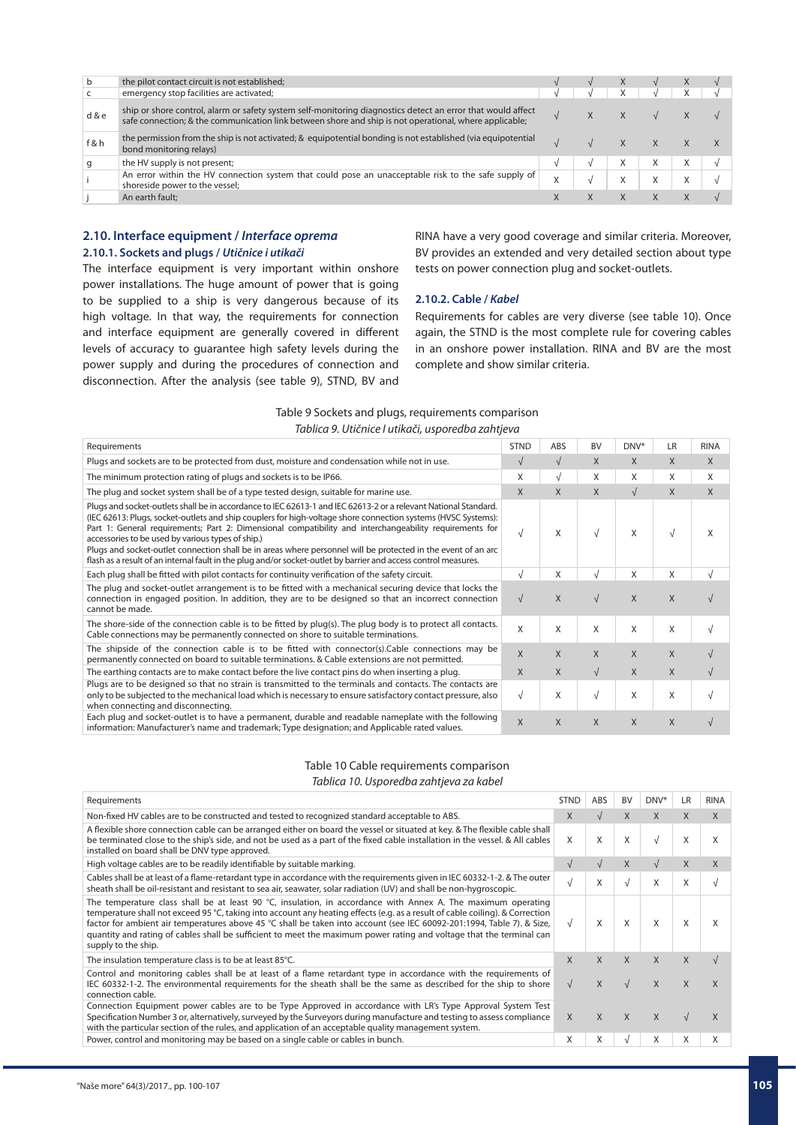| b     | the pilot contact circuit is not established;                                                                                                                                                                         |           | X |   |  |
|-------|-----------------------------------------------------------------------------------------------------------------------------------------------------------------------------------------------------------------------|-----------|---|---|--|
|       | emergency stop facilities are activated;                                                                                                                                                                              |           |   |   |  |
| d & e | ship or shore control, alarm or safety system self-monitoring diagnostics detect an error that would affect<br>safe connection; & the communication link between shore and ship is not operational, where applicable; |           | X |   |  |
| f&h   | the permission from the ship is not activated; & equipotential bonding is not established (via equipotential<br>bond monitoring relays)                                                                               |           |   |   |  |
|       | the HV supply is not present;                                                                                                                                                                                         |           | X | X |  |
|       | An error within the HV connection system that could pose an unacceptable risk to the safe supply of<br>shoreside power to the vessel;                                                                                 | $\lambda$ | X | X |  |
|       | An earth fault;                                                                                                                                                                                                       |           | X |   |  |
|       |                                                                                                                                                                                                                       |           |   |   |  |

# **2.10. Interface equipment /** *Interface oprema* **2.10.1. Sockets and plugs /** *Utičnice i utikači*

The interface equipment is very important within onshore power installations. The huge amount of power that is going to be supplied to a ship is very dangerous because of its high voltage. In that way, the requirements for connection and interface equipment are generally covered in different levels of accuracy to guarantee high safety levels during the power supply and during the procedures of connection and disconnection. After the analysis (see table 9), STND, BV and RINA have a very good coverage and similar criteria. Moreover, BV provides an extended and very detailed section about type tests on power connection plug and socket-outlets.

# **2.10.2. Cable /** *Kabel*

Requirements for cables are very diverse (see table 10). Once again, the STND is the most complete rule for covering cables in an onshore power installation. RINA and BV are the most complete and show similar criteria.

# Table 9 Sockets and plugs, requirements comparison *Tablica 9. Utičnice I utikači, usporedba zahtjeva*

| Requirements                                                                                                                                                                                                                                                                                                                                                                                                                                                                                                                                                                                                                         | <b>STND</b>  | ABS        | <b>BV</b>    | DNV*       | <b>LR</b> | <b>RINA</b> |
|--------------------------------------------------------------------------------------------------------------------------------------------------------------------------------------------------------------------------------------------------------------------------------------------------------------------------------------------------------------------------------------------------------------------------------------------------------------------------------------------------------------------------------------------------------------------------------------------------------------------------------------|--------------|------------|--------------|------------|-----------|-------------|
| Plugs and sockets are to be protected from dust, moisture and condensation while not in use.                                                                                                                                                                                                                                                                                                                                                                                                                                                                                                                                         | $\sqrt{ }$   | $\sqrt{ }$ | X            | X          | X         | $\chi$      |
| The minimum protection rating of plugs and sockets is to be IP66.                                                                                                                                                                                                                                                                                                                                                                                                                                                                                                                                                                    | X            | $\sqrt{ }$ | X            | X          | X         | X           |
| The plug and socket system shall be of a type tested design, suitable for marine use.                                                                                                                                                                                                                                                                                                                                                                                                                                                                                                                                                | X            | X          | X            | $\sqrt{ }$ | X         | X           |
| Plugs and socket-outlets shall be in accordance to IEC 62613-1 and IEC 62613-2 or a relevant National Standard.<br>(IEC 62613: Plugs, socket-outlets and ship couplers for high-voltage shore connection systems (HVSC Systems):<br>Part 1: General requirements; Part 2: Dimensional compatibility and interchangeability requirements for<br>accessories to be used by various types of ship.)<br>Plugs and socket-outlet connection shall be in areas where personnel will be protected in the event of an arc<br>flash as a result of an internal fault in the plug and/or socket-outlet by barrier and access control measures. | $\sqrt{ }$   | X          | $\sqrt{ }$   | X          | V         | X           |
| Each plug shall be fitted with pilot contacts for continuity verification of the safety circuit.                                                                                                                                                                                                                                                                                                                                                                                                                                                                                                                                     | $\sqrt{ }$   | X          | $\sqrt{ }$   | X          | X         | V           |
| The plug and socket-outlet arrangement is to be fitted with a mechanical securing device that locks the<br>connection in engaged position. In addition, they are to be designed so that an incorrect connection<br>cannot be made.                                                                                                                                                                                                                                                                                                                                                                                                   | $\sqrt{ }$   | X          |              | X          | X         |             |
| The shore-side of the connection cable is to be fitted by plug(s). The plug body is to protect all contacts.<br>Cable connections may be permanently connected on shore to suitable terminations.                                                                                                                                                                                                                                                                                                                                                                                                                                    | $\mathsf{x}$ | X          | X            | X          | X         |             |
| The shipside of the connection cable is to be fitted with connector(s).Cable connections may be<br>permanently connected on board to suitable terminations. & Cable extensions are not permitted.                                                                                                                                                                                                                                                                                                                                                                                                                                    | $\times$     | X          | $\mathsf{X}$ | X          | X         |             |
| The earthing contacts are to make contact before the live contact pins do when inserting a plug.                                                                                                                                                                                                                                                                                                                                                                                                                                                                                                                                     | $\times$     | X          | $\sqrt{ }$   | X          | X         | $\sqrt{ }$  |
| Plugs are to be designed so that no strain is transmitted to the terminals and contacts. The contacts are<br>only to be subjected to the mechanical load which is necessary to ensure satisfactory contact pressure, also<br>when connecting and disconnecting.                                                                                                                                                                                                                                                                                                                                                                      | $\sqrt{ }$   | X          | $\sqrt{ }$   | X          | X         |             |
| Each plug and socket-outlet is to have a permanent, durable and readable nameplate with the following<br>information: Manufacturer's name and trademark; Type designation; and Applicable rated values.                                                                                                                                                                                                                                                                                                                                                                                                                              | $\sf X$      | X          | X            | X          | X         |             |

### Table 10 Cable requirements comparison

*Tablica 10. Usporedba zahtjeva za kabel*

| Requirements                                                                                                                                                                                                                                                                                                                                                                                                                                                                                                                     | <b>STND</b> | ABS        | <b>BV</b> | DNV*         | LR | <b>RINA</b> |
|----------------------------------------------------------------------------------------------------------------------------------------------------------------------------------------------------------------------------------------------------------------------------------------------------------------------------------------------------------------------------------------------------------------------------------------------------------------------------------------------------------------------------------|-------------|------------|-----------|--------------|----|-------------|
| Non-fixed HV cables are to be constructed and tested to recognized standard acceptable to ABS.                                                                                                                                                                                                                                                                                                                                                                                                                                   | X           | $\sqrt{ }$ | X         | X            | X  | X           |
| A flexible shore connection cable can be arranged either on board the vessel or situated at key. & The flexible cable shall<br>be terminated close to the ship's side, and not be used as a part of the fixed cable installation in the vessel. & All cables<br>installed on board shall be DNV type approved.                                                                                                                                                                                                                   | X           | X          | X         | $\sqrt{ }$   | X  | X           |
| High voltage cables are to be readily identifiable by suitable marking.                                                                                                                                                                                                                                                                                                                                                                                                                                                          | $\sqrt{ }$  | $\sqrt{ }$ | X         | $\sqrt{ }$   | X  | X           |
| Cables shall be at least of a flame-retardant type in accordance with the requirements given in IEC 60332-1-2. & The outer<br>sheath shall be oil-resistant and resistant to sea air, seawater, solar radiation (UV) and shall be non-hygroscopic.                                                                                                                                                                                                                                                                               | $\sqrt{ }$  | X          |           | X            | X  |             |
| The temperature class shall be at least 90 $^{\circ}$ C, insulation, in accordance with Annex A. The maximum operating<br>temperature shall not exceed 95 °C, taking into account any heating effects (e.g. as a result of cable coiling). & Correction<br>factor for ambient air temperatures above 45 °C shall be taken into account (see IEC 60092-201:1994, Table 7). & Size,<br>quantity and rating of cables shall be sufficient to meet the maximum power rating and voltage that the terminal can<br>supply to the ship. | $\sqrt{ }$  | Χ          | X         | X            | X  | X           |
| The insulation temperature class is to be at least 85°C.                                                                                                                                                                                                                                                                                                                                                                                                                                                                         | X           | X          | X         | X            | X  |             |
| Control and monitoring cables shall be at least of a flame retardant type in accordance with the requirements of<br>IEC 60332-1-2. The environmental requirements for the sheath shall be the same as described for the ship to shore<br>connection cable.                                                                                                                                                                                                                                                                       | $\sqrt{ }$  | X          |           | $\mathsf{X}$ | X  | X           |
| Connection Equipment power cables are to be Type Approved in accordance with LR's Type Approval System Test<br>Specification Number 3 or, alternatively, surveyed by the Surveyors during manufacture and testing to assess compliance<br>with the particular section of the rules, and application of an acceptable quality management system.                                                                                                                                                                                  | X           | X          | X         | X            |    | X           |
| Power, control and monitoring may be based on a single cable or cables in bunch.                                                                                                                                                                                                                                                                                                                                                                                                                                                 | X           | X          |           | X            | X  | X           |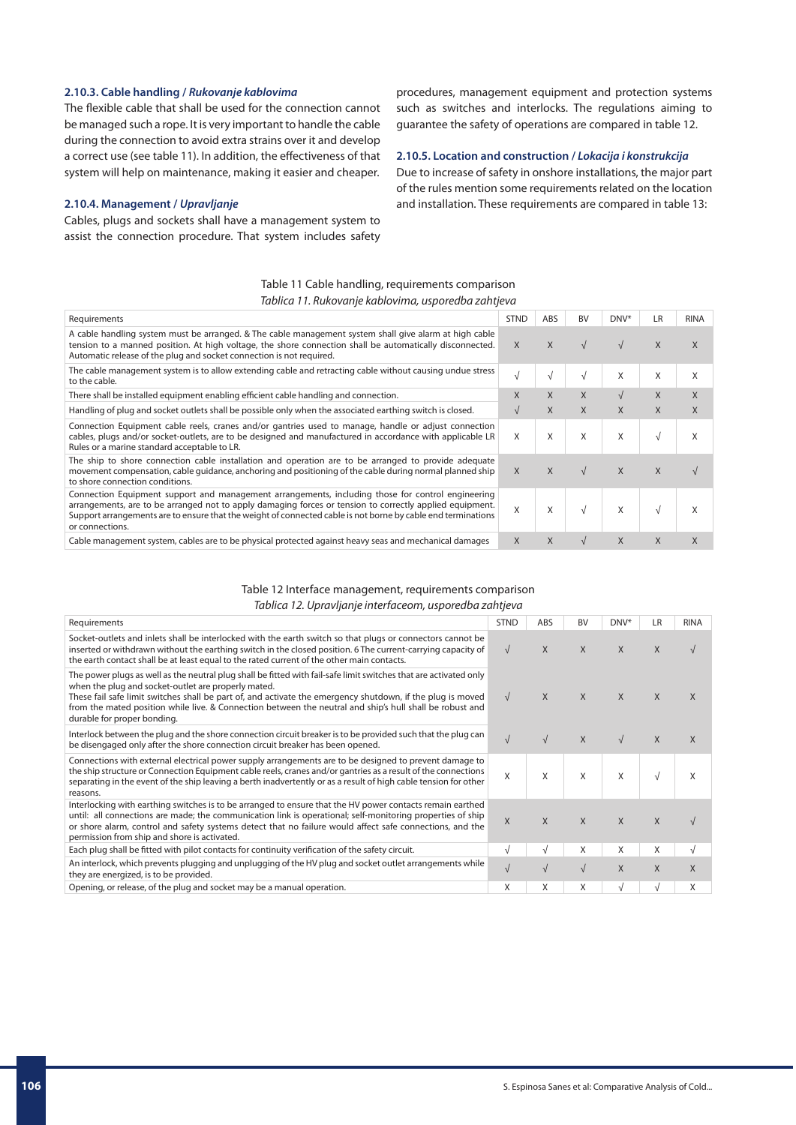# **2.10.3. Cable handling /** *Rukovanje kablovima*

The flexible cable that shall be used for the connection cannot be managed such a rope. It is very important to handle the cable during the connection to avoid extra strains over it and develop a correct use (see table 11). In addition, the effectiveness of that system will help on maintenance, making it easier and cheaper.

### **2.10.4. Management /** *Upravljanje*

Cables, plugs and sockets shall have a management system to assist the connection procedure. That system includes safety procedures, management equipment and protection systems such as switches and interlocks. The regulations aiming to guarantee the safety of operations are compared in table 12.

# **2.10.5. Location and construction /** *Lokacija i konstrukcija*

Due to increase of safety in onshore installations, the major part of the rules mention some requirements related on the location and installation. These requirements are compared in table 13:

# Table 11 Cable handling, requirements comparison *Tablica 11. Rukovanje kablovima, usporedba zahtjeva*

| Requirements                                                                                                                                                                                                                                                                                                                                     | <b>STND</b> | ABS        | <b>BV</b>  | DNV <sup>*</sup> | LR           | <b>RINA</b> |
|--------------------------------------------------------------------------------------------------------------------------------------------------------------------------------------------------------------------------------------------------------------------------------------------------------------------------------------------------|-------------|------------|------------|------------------|--------------|-------------|
| A cable handling system must be arranged. & The cable management system shall give alarm at high cable<br>tension to a manned position. At high voltage, the shore connection shall be automatically disconnected.<br>Automatic release of the plug and socket connection is not required.                                                       | X           | X          |            | $\sqrt{ }$       | X            | X           |
| The cable management system is to allow extending cable and retracting cable without causing undue stress<br>to the cable.                                                                                                                                                                                                                       | √           | $\sqrt{ }$ | V          | X                | X            | X           |
| There shall be installed equipment enabling efficient cable handling and connection.                                                                                                                                                                                                                                                             | X           | X          | X          | $\sqrt{ }$       | X            | X           |
| Handling of plug and socket outlets shall be possible only when the associated earthing switch is closed.                                                                                                                                                                                                                                        | $\sqrt{ }$  | X          | X          | X                | X            | X           |
| Connection Equipment cable reels, cranes and/or gantries used to manage, handle or adjust connection<br>cables, plugs and/or socket-outlets, are to be designed and manufactured in accordance with applicable LR<br>Rules or a marine standard acceptable to LR.                                                                                | X           | X          | X          | X                | $\sqrt{ }$   | X           |
| The ship to shore connection cable installation and operation are to be arranged to provide adequate<br>movement compensation, cable quidance, anchoring and positioning of the cable during normal planned ship<br>to shore connection conditions.                                                                                              | X           | X          | $\sqrt{ }$ | $\mathsf{X}$     | X            |             |
| Connection Equipment support and management arrangements, including those for control engineering<br>arrangements, are to be arranged not to apply damaging forces or tension to correctly applied equipment.<br>Support arrangements are to ensure that the weight of connected cable is not borne by cable end terminations<br>or connections. | X           | X          |            | X                | $\sqrt{ }$   | X           |
| Cable management system, cables are to be physical protected against heavy seas and mechanical damages                                                                                                                                                                                                                                           | X           | X          | $\sqrt{ }$ | X                | $\mathsf{X}$ | X           |
|                                                                                                                                                                                                                                                                                                                                                  |             |            |            |                  |              |             |

### Table 12 Interface management, requirements comparison *Tablica 12. Upravljanje interfaceom, usporedba zahtjeva*

| Requirements                                                                                                                                                                                                                                                                                                                                                                                                                      | <b>STND</b> | ABS        | <b>BV</b>    | DNV*       | LR           | <b>RINA</b>  |  |  |
|-----------------------------------------------------------------------------------------------------------------------------------------------------------------------------------------------------------------------------------------------------------------------------------------------------------------------------------------------------------------------------------------------------------------------------------|-------------|------------|--------------|------------|--------------|--------------|--|--|
| Socket-outlets and inlets shall be interlocked with the earth switch so that plugs or connectors cannot be<br>inserted or withdrawn without the earthing switch in the closed position. 6 The current-carrying capacity of<br>the earth contact shall be at least equal to the rated current of the other main contacts.                                                                                                          | $\sqrt{ }$  | X          | X            | X          | X            |              |  |  |
| The power plugs as well as the neutral plug shall be fitted with fail-safe limit switches that are activated only<br>when the plug and socket-outlet are properly mated.<br>These fail safe limit switches shall be part of, and activate the emergency shutdown, if the plug is moved<br>from the mated position while live. & Connection between the neutral and ship's hull shall be robust and<br>durable for proper bonding. | $\sqrt{ }$  | X          | $\mathsf{X}$ | $\chi$     | $\mathsf{X}$ | X            |  |  |
| Interlock between the plug and the shore connection circuit breaker is to be provided such that the plug can<br>be disengaged only after the shore connection circuit breaker has been opened.                                                                                                                                                                                                                                    | $\sqrt{ }$  | $\sqrt{ }$ | X            | $\sqrt{ }$ | $\mathsf{X}$ | $\mathsf{X}$ |  |  |
| Connections with external electrical power supply arrangements are to be designed to prevent damage to<br>the ship structure or Connection Equipment cable reels, cranes and/or gantries as a result of the connections<br>separating in the event of the ship leaving a berth inadvertently or as a result of high cable tension for other<br>reasons.                                                                           | X           | X          | X            | X          | $\sqrt{ }$   | X            |  |  |
| Interlocking with earthing switches is to be arranged to ensure that the HV power contacts remain earthed<br>until: all connections are made; the communication link is operational; self-monitoring properties of ship<br>or shore alarm, control and safety systems detect that no failure would affect safe connections, and the<br>permission from ship and shore is activated.                                               | X           | X          | X            | X          | X            |              |  |  |
| Each plug shall be fitted with pilot contacts for continuity verification of the safety circuit.                                                                                                                                                                                                                                                                                                                                  | √           | V          | Χ            | X          | X            |              |  |  |
| An interlock, which prevents plugging and unplugging of the HV plug and socket outlet arrangements while<br>they are energized, is to be provided.                                                                                                                                                                                                                                                                                | $\sqrt{ }$  | $\sqrt{ }$ | $\sqrt{}$    | X          | X            | $\mathsf{X}$ |  |  |
| Opening, or release, of the plug and socket may be a manual operation.                                                                                                                                                                                                                                                                                                                                                            | X           | X          | X            | $\sqrt{ }$ | $\sqrt{ }$   | X            |  |  |